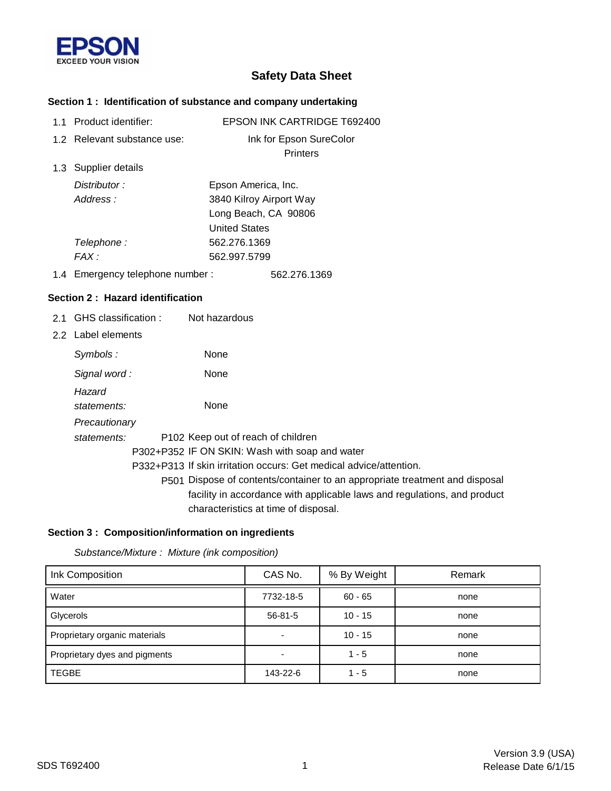

# **Safety Data Sheet**

## **Section 1 : Identification of substance and company undertaking**

| 1.1 Product identifier:          | EPSON INK CARTRIDGE T692400                                                 |
|----------------------------------|-----------------------------------------------------------------------------|
| 1.2 Relevant substance use:      | Ink for Epson SureColor                                                     |
|                                  | <b>Printers</b>                                                             |
| 1.3 Supplier details             |                                                                             |
| Distributor:                     | Epson America, Inc.                                                         |
| Address:                         | 3840 Kilroy Airport Way                                                     |
|                                  | Long Beach, CA 90806                                                        |
|                                  | <b>United States</b>                                                        |
| Telephone:                       | 562.276.1369                                                                |
| FAX:                             | 562.997.5799                                                                |
| 1.4 Emergency telephone number:  | 562.276.1369                                                                |
| Section 2: Hazard identification |                                                                             |
| 2.1 GHS classification :         | Not hazardous                                                               |
| 2.2 Label elements               |                                                                             |
| Symbols:                         | None                                                                        |
| Signal word:                     | None                                                                        |
| Hazard                           |                                                                             |
| statements:                      | None                                                                        |
| Precautionary                    |                                                                             |
| statements:                      | P102 Keep out of reach of children                                          |
|                                  | P302+P352 IF ON SKIN: Wash with soap and water                              |
|                                  | P332+P313 If skin irritation occurs: Get medical advice/attention.          |
|                                  | P501 Dispose of contents/container to an appropriate treatment and disposal |
|                                  | facility in accordance with applicable laws and regulations, and product    |
|                                  | characteristics at time of disposal.                                        |

### **Section 3 : Composition/information on ingredients**

*Substance/Mixture : Mixture (ink composition)*

| Ink Composition               | CAS No.       | % By Weight | Remark |
|-------------------------------|---------------|-------------|--------|
| Water                         | 7732-18-5     | $60 - 65$   | none   |
| Glycerols                     | $56 - 81 - 5$ | $10 - 15$   | none   |
| Proprietary organic materials |               | $10 - 15$   | none   |
| Proprietary dyes and pigments |               | $1 - 5$     | none   |
| <b>TEGBE</b>                  | 143-22-6      | $1 - 5$     | none   |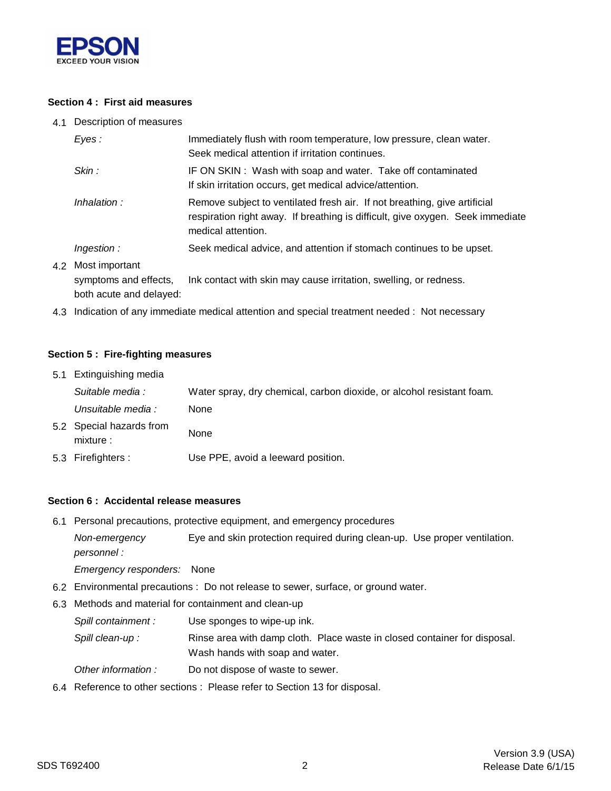

### **Section 4 : First aid measures**

4.1 Description of measures

| Eyes:                                       | Immediately flush with room temperature, low pressure, clean water.<br>Seek medical attention if irritation continues.                                                            |
|---------------------------------------------|-----------------------------------------------------------------------------------------------------------------------------------------------------------------------------------|
| Skin:                                       | IF ON SKIN: Wash with soap and water. Take off contaminated<br>If skin irritation occurs, get medical advice/attention.                                                           |
| Inhalation:                                 | Remove subject to ventilated fresh air. If not breathing, give artificial<br>respiration right away. If breathing is difficult, give oxygen. Seek immediate<br>medical attention. |
| Ingestion:                                  | Seek medical advice, and attention if stomach continues to be upset.                                                                                                              |
| 4.2 Most important<br>symptoms and effects, | Ink contact with skin may cause irritation, swelling, or redness.                                                                                                                 |

both acute and delayed:

4.3 Indication of any immediate medical attention and special treatment needed : Not necessary

#### **Section 5 : Fire-fighting measures**

| 5.1 Extinguishing media               |                                                                       |
|---------------------------------------|-----------------------------------------------------------------------|
| Suitable media :                      | Water spray, dry chemical, carbon dioxide, or alcohol resistant foam. |
| Unsuitable media :                    | None                                                                  |
| 5.2 Special hazards from<br>mixture : | None                                                                  |
| 5.3 Firefighters :                    | Use PPE, avoid a leeward position.                                    |

#### **Section 6 : Accidental release measures**

6.1 Personal precautions, protective equipment, and emergency procedures

*Non-emergency* Eye and skin protection required during clean-up. Use proper ventilation. *personnel :*

*Emergency responders:* None

- 6.2 Environmental precautions : Do not release to sewer, surface, or ground water.
- 6.3 Methods and material for containment and clean-up
	- *Spill containment :* Use sponges to wipe-up ink.
	- Spill clean-up : Rinse area with damp cloth. Place waste in closed container for disposal. Wash hands with soap and water.
	- *Other information :* Do not dispose of waste to sewer.
- 6.4 Reference to other sections : Please refer to Section 13 for disposal.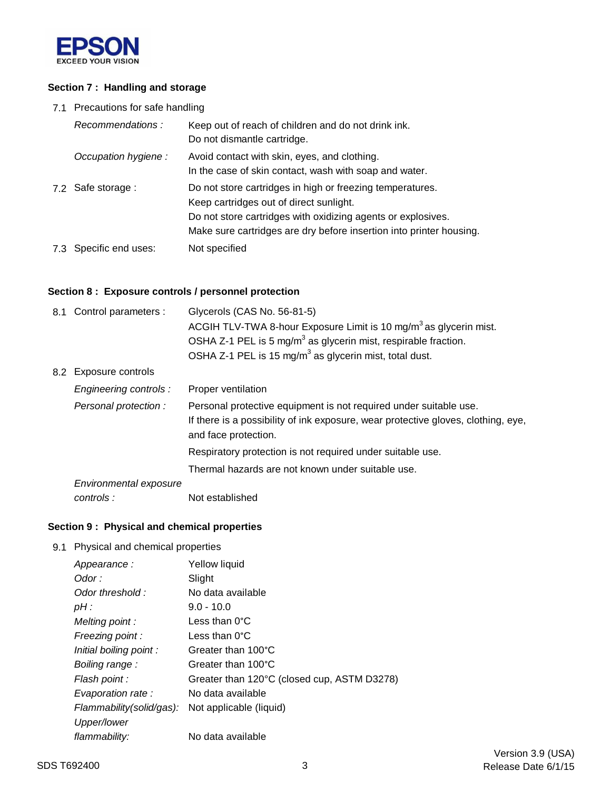

### **Section 7 : Handling and storage**

7.1 Precautions for safe handling

| Recommendations:       | Keep out of reach of children and do not drink ink.<br>Do not dismantle cartridge.                                                                                                                                                          |
|------------------------|---------------------------------------------------------------------------------------------------------------------------------------------------------------------------------------------------------------------------------------------|
| Occupation hygiene:    | Avoid contact with skin, eyes, and clothing.<br>In the case of skin contact, wash with soap and water.                                                                                                                                      |
| 7.2 Safe storage :     | Do not store cartridges in high or freezing temperatures.<br>Keep cartridges out of direct sunlight.<br>Do not store cartridges with oxidizing agents or explosives.<br>Make sure cartridges are dry before insertion into printer housing. |
| 7.3 Specific end uses: | Not specified                                                                                                                                                                                                                               |

### **Section 8 : Exposure controls / personnel protection**

| 8.1 Control parameters : | Glycerols (CAS No. 56-81-5)<br>ACGIH TLV-TWA 8-hour Exposure Limit is 10 mg/m <sup>3</sup> as glycerin mist.                                                                   |
|--------------------------|--------------------------------------------------------------------------------------------------------------------------------------------------------------------------------|
|                          | OSHA Z-1 PEL is 5 mg/m <sup>3</sup> as glycerin mist, respirable fraction.                                                                                                     |
|                          | OSHA Z-1 PEL is 15 mg/m <sup>3</sup> as glycerin mist, total dust.                                                                                                             |
| 8.2 Exposure controls    |                                                                                                                                                                                |
| Engineering controls :   | Proper ventilation                                                                                                                                                             |
| Personal protection:     | Personal protective equipment is not required under suitable use.<br>If there is a possibility of ink exposure, wear protective gloves, clothing, eye,<br>and face protection. |
|                          | Respiratory protection is not required under suitable use.                                                                                                                     |
|                          | Thermal hazards are not known under suitable use.                                                                                                                              |
| Environmental exposure   |                                                                                                                                                                                |
| controls:                | Not established                                                                                                                                                                |

## **Section 9 : Physical and chemical properties**

9.1 Physical and chemical properties

| Appearance:              | Yellow liquid                               |
|--------------------------|---------------------------------------------|
| Odor :                   | Slight                                      |
| Odor threshold:          | No data available                           |
| $pH$ :                   | $9.0 - 10.0$                                |
| Melting point:           | Less than $0^{\circ}$ C                     |
| Freezing point:          | Less than $0^{\circ}$ C                     |
| Initial boiling point:   | Greater than 100°C                          |
| Boiling range:           | Greater than 100°C                          |
| Flash point :            | Greater than 120°C (closed cup, ASTM D3278) |
| Evaporation rate :       | No data available                           |
| Flammability(solid/gas): | Not applicable (liquid)                     |
| Upper/lower              |                                             |
| flammability:            | No data available                           |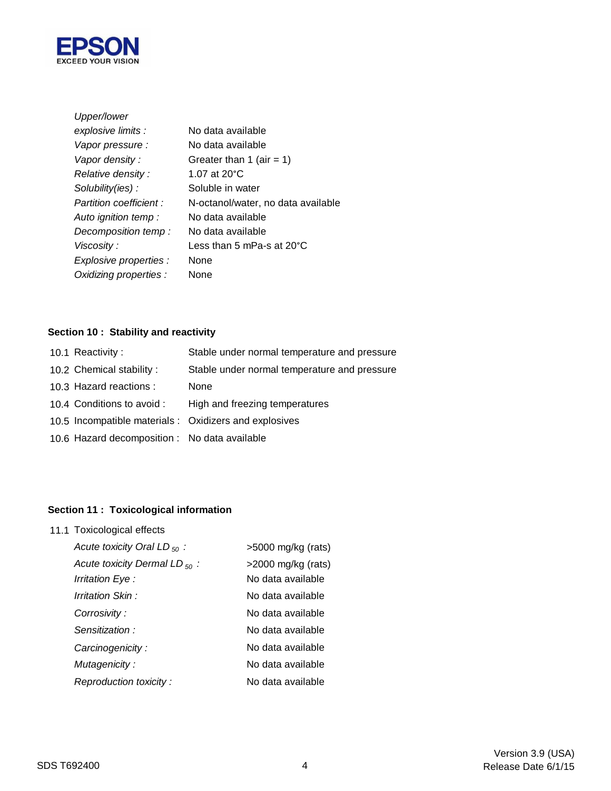

| Upper/lower             |                                     |
|-------------------------|-------------------------------------|
| explosive limits :      | No data available                   |
| Vapor pressure :        | No data available                   |
| Vapor density:          | Greater than 1 (air = 1)            |
| Relative density:       | 1.07 at $20^{\circ}$ C              |
| Solubility(ies):        | Soluble in water                    |
| Partition coefficient : | N-octanol/water, no data available  |
| Auto ignition temp :    | No data available                   |
| Decomposition temp:     | No data available                   |
| Viscosity :             | Less than 5 mPa-s at $20^{\circ}$ C |
| Explosive properties :  | None                                |
| Oxidizing properties :  | None                                |

# **Section 10 : Stability and reactivity**

| 10.1 Reactivity:                              | Stable under normal temperature and pressure           |
|-----------------------------------------------|--------------------------------------------------------|
| 10.2 Chemical stability:                      | Stable under normal temperature and pressure           |
| 10.3 Hazard reactions :                       | None                                                   |
| 10.4 Conditions to avoid :                    | High and freezing temperatures                         |
|                                               | 10.5 Incompatible materials : Oxidizers and explosives |
| 10.6 Hazard decomposition : No data available |                                                        |
|                                               |                                                        |

# **Section 11 : Toxicological information**

11.1 Toxicological effects

| Acute toxicity Oral LD $_{50}$ :   | $>5000$ mg/kg (rats)  |
|------------------------------------|-----------------------|
| Acute toxicity Dermal LD $_{50}$ : | $>$ 2000 mg/kg (rats) |
| Irritation Eye :                   | No data available     |
| Irritation Skin:                   | No data available     |
| Corrosivity:                       | No data available     |
| Sensitization:                     | No data available     |
| Carcinogenicity:                   | No data available     |
| Mutagenicity:                      | No data available     |
| Reproduction toxicity:             | No data available     |
|                                    |                       |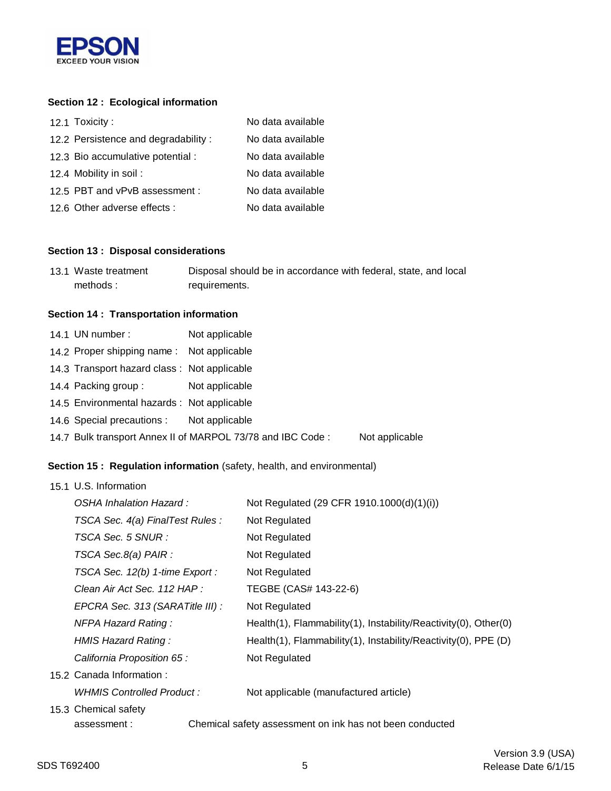

## **Section 12 : Ecological information**

| 12.1 Toxicity:                      | No data available |
|-------------------------------------|-------------------|
| 12.2 Persistence and degradability: | No data available |
| 12.3 Bio accumulative potential :   | No data available |
| 12.4 Mobility in soil:              | No data available |
| 12.5 PBT and vPvB assessment :      | No data available |
| 12.6 Other adverse effects :        | No data available |

#### **Section 13 : Disposal considerations**

| 13.1 Waste treatment | Disposal should be in accordance with federal, state, and local |
|----------------------|-----------------------------------------------------------------|
| methods:             | requirements.                                                   |

#### **Section 14 : Transportation information**

| Not applicable                         |                                                                                                                                                                                                                                                    |
|----------------------------------------|----------------------------------------------------------------------------------------------------------------------------------------------------------------------------------------------------------------------------------------------------|
|                                        |                                                                                                                                                                                                                                                    |
|                                        |                                                                                                                                                                                                                                                    |
| Not applicable                         |                                                                                                                                                                                                                                                    |
|                                        |                                                                                                                                                                                                                                                    |
|                                        |                                                                                                                                                                                                                                                    |
|                                        | Not applicable                                                                                                                                                                                                                                     |
| 14.1 UN number:<br>14.4 Packing group: | 14.2 Proper shipping name: Not applicable<br>14.3 Transport hazard class: Not applicable<br>14.5 Environmental hazards : Not applicable<br>14.6 Special precautions : Not applicable<br>14.7 Bulk transport Annex II of MARPOL 73/78 and IBC Code: |

## **Section 15 : Regulation information** (safety, health, and environmental)

| 15.1 U.S. Information            |                                                                 |
|----------------------------------|-----------------------------------------------------------------|
| OSHA Inhalation Hazard:          | Not Regulated (29 CFR 1910.1000(d)(1)(i))                       |
| TSCA Sec. 4(a) FinalTest Rules : | Not Regulated                                                   |
| TSCA Sec. 5 SNUR :               | Not Regulated                                                   |
| TSCA Sec.8(a) PAIR :             | Not Regulated                                                   |
| TSCA Sec. 12(b) 1-time Export :  | Not Regulated                                                   |
| Clean Air Act Sec. 112 HAP :     | TEGBE (CAS# 143-22-6)                                           |
| EPCRA Sec. 313 (SARATitle III) : | Not Regulated                                                   |
| <b>NFPA Hazard Rating:</b>       | Health(1), Flammability(1), Instability/Reactivity(0), Other(0) |
| HMIS Hazard Rating:              | Health(1), Flammability(1), Instability/Reactivity(0), PPE (D)  |
| California Proposition 65 :      | Not Regulated                                                   |
| 15.2 Canada Information:         |                                                                 |
| WHMIS Controlled Product:        | Not applicable (manufactured article)                           |
| 15.3 Chemical safety             |                                                                 |
| assessment:                      | Chemical safety assessment on ink has not been conducted        |